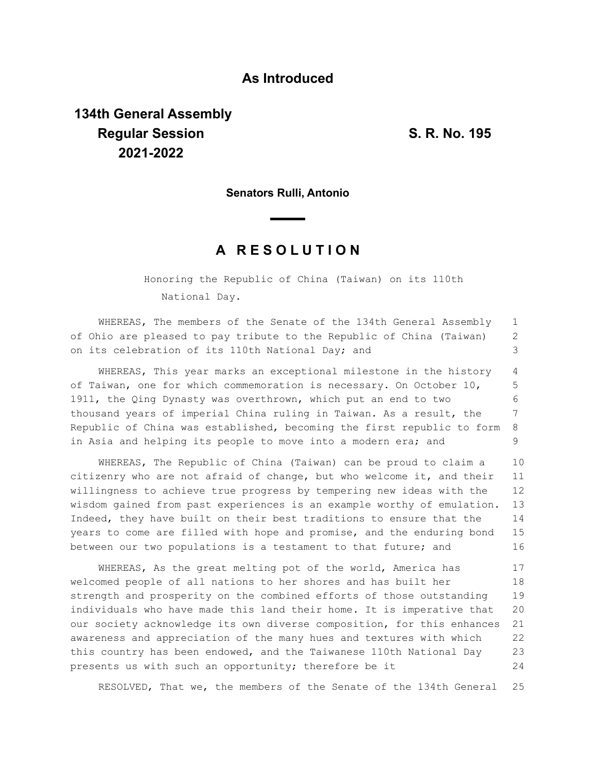## **As Introduced**

## **134th General Assembly Regular Session S. R. No. 195 2021-2022**

**Senators Rulli, Antonio**

## **A R E S O L U T I O N**

Honoring the Republic of China (Taiwan) on its 110th National Day.

WHEREAS, The members of the Senate of the 134th General Assembly of Ohio are pleased to pay tribute to the Republic of China (Taiwan) on its celebration of its 110th National Day; and 1 2 3

WHEREAS, This year marks an exceptional milestone in the history of Taiwan, one for which commemoration is necessary. On October 10, 1911, the Qing Dynasty was overthrown, which put an end to two thousand years of imperial China ruling in Taiwan. As a result, the Republic of China was established, becoming the first republic to form in Asia and helping its people to move into a modern era; and 4 5 6 7 8 9

WHEREAS, The Republic of China (Taiwan) can be proud to claim a citizenry who are not afraid of change, but who welcome it, and their willingness to achieve true progress by tempering new ideas with the wisdom gained from past experiences is an example worthy of emulation. Indeed, they have built on their best traditions to ensure that the years to come are filled with hope and promise, and the enduring bond between our two populations is a testament to that future; and 10 11 12 13 14 15 16

WHEREAS, As the great melting pot of the world, America has welcomed people of all nations to her shores and has built her strength and prosperity on the combined efforts of those outstanding individuals who have made this land their home. It is imperative that our society acknowledge its own diverse composition, for this enhances awareness and appreciation of the many hues and textures with which this country has been endowed, and the Taiwanese 110th National Day presents us with such an opportunity; therefore be it 17 18 19 20 21 22 23 24

RESOLVED, That we, the members of the Senate of the 134th General 25